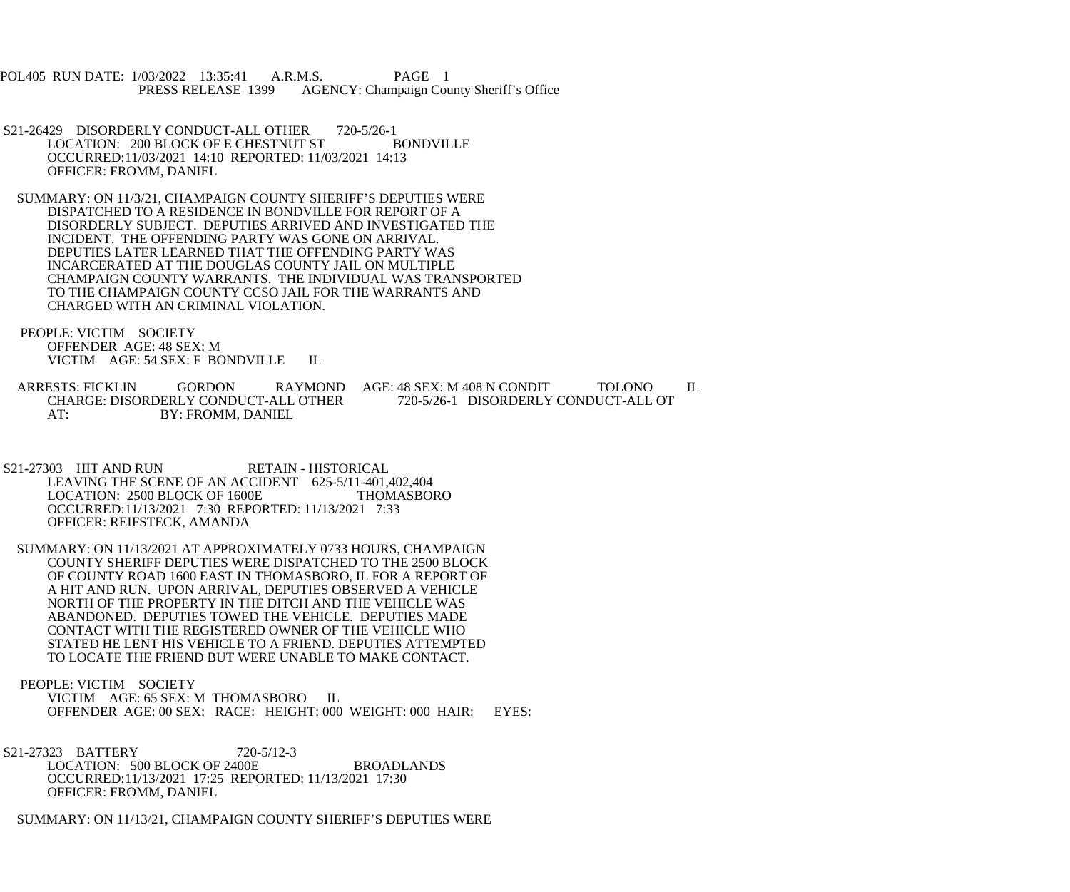POL405 RUN DATE: 1/03/2022 13:35:41 A.R.M.S. PAGE 1 PRESS RELEASE 1399 AGENCY: Champaign County Sheriff's Office

- S21-26429 DISORDERLY CONDUCT-ALL OTHER 720-5/26-1<br>LOCATION: 200 BLOCK OF E CHESTNUT ST BONDVILLE LOCATION: 200 BLOCK OF E CHESTNUT ST OCCURRED:11/03/2021 14:10 REPORTED: 11/03/2021 14:13 OFFICER: FROMM, DANIEL
- SUMMARY: ON 11/3/21, CHAMPAIGN COUNTY SHERIFF'S DEPUTIES WERE DISPATCHED TO A RESIDENCE IN BONDVILLE FOR REPORT OF A DISORDERLY SUBJECT. DEPUTIES ARRIVED AND INVESTIGATED THE INCIDENT. THE OFFENDING PARTY WAS GONE ON ARRIVAL. DEPUTIES LATER LEARNED THAT THE OFFENDING PARTY WAS INCARCERATED AT THE DOUGLAS COUNTY JAIL ON MULTIPLE CHAMPAIGN COUNTY WARRANTS. THE INDIVIDUAL WAS TRANSPORTED TO THE CHAMPAIGN COUNTY CCSO JAIL FOR THE WARRANTS AND CHARGED WITH AN CRIMINAL VIOLATION.
- PEOPLE: VICTIM SOCIETY OFFENDER AGE: 48 SEX: M VICTIM AGE: 54 SEX: F BONDVILLE IL
- ARRESTS: FICKLIN GORDON RAYMOND AGE: 48 SEX: M 408 N CONDIT TOLONO IL<br>CHARGE: DISORDERLY CONDUCT-ALL OTHER 720-5/26-1 DISORDERLY CONDUCT-ALL OT CHARGE: DISORDERLY CONDUCT-ALL OTHER 720-5/26-1 DISORDERLY CONDUCT-ALL OT AT: BY: FROMM. DANIEL BY: FROMM, DANIEL
- S21-27303 HIT AND RUN RETAIN HISTORICAL LEAVING THE SCENE OF AN ACCIDENT 625-5/11-401,402,404<br>LOCATION: 2500 BLOCK OF 1600E THOMASBORO LOCATION: 2500 BLOCK OF 1600E OCCURRED:11/13/2021 7:30 REPORTED: 11/13/2021 7:33 OFFICER: REIFSTECK, AMANDA
- SUMMARY: ON 11/13/2021 AT APPROXIMATELY 0733 HOURS, CHAMPAIGN COUNTY SHERIFF DEPUTIES WERE DISPATCHED TO THE 2500 BLOCK OF COUNTY ROAD 1600 EAST IN THOMASBORO, IL FOR A REPORT OF A HIT AND RUN. UPON ARRIVAL, DEPUTIES OBSERVED A VEHICLE NORTH OF THE PROPERTY IN THE DITCH AND THE VEHICLE WAS ABANDONED. DEPUTIES TOWED THE VEHICLE. DEPUTIES MADE CONTACT WITH THE REGISTERED OWNER OF THE VEHICLE WHO STATED HE LENT HIS VEHICLE TO A FRIEND. DEPUTIES ATTEMPTED TO LOCATE THE FRIEND BUT WERE UNABLE TO MAKE CONTACT.
- PEOPLE: VICTIM SOCIETY VICTIM AGE: 65 SEX: M THOMASBORO IL OFFENDER AGE: 00 SEX: RACE: HEIGHT: 000 WEIGHT: 000 HAIR: EYES:
- S21-27323 BATTERY 720-5/12-3 LOCATION: 500 BLOCK OF 2400E BROADLANDS OCCURRED:11/13/2021 17:25 REPORTED: 11/13/2021 17:30 OFFICER: FROMM, DANIEL
- SUMMARY: ON 11/13/21, CHAMPAIGN COUNTY SHERIFF'S DEPUTIES WERE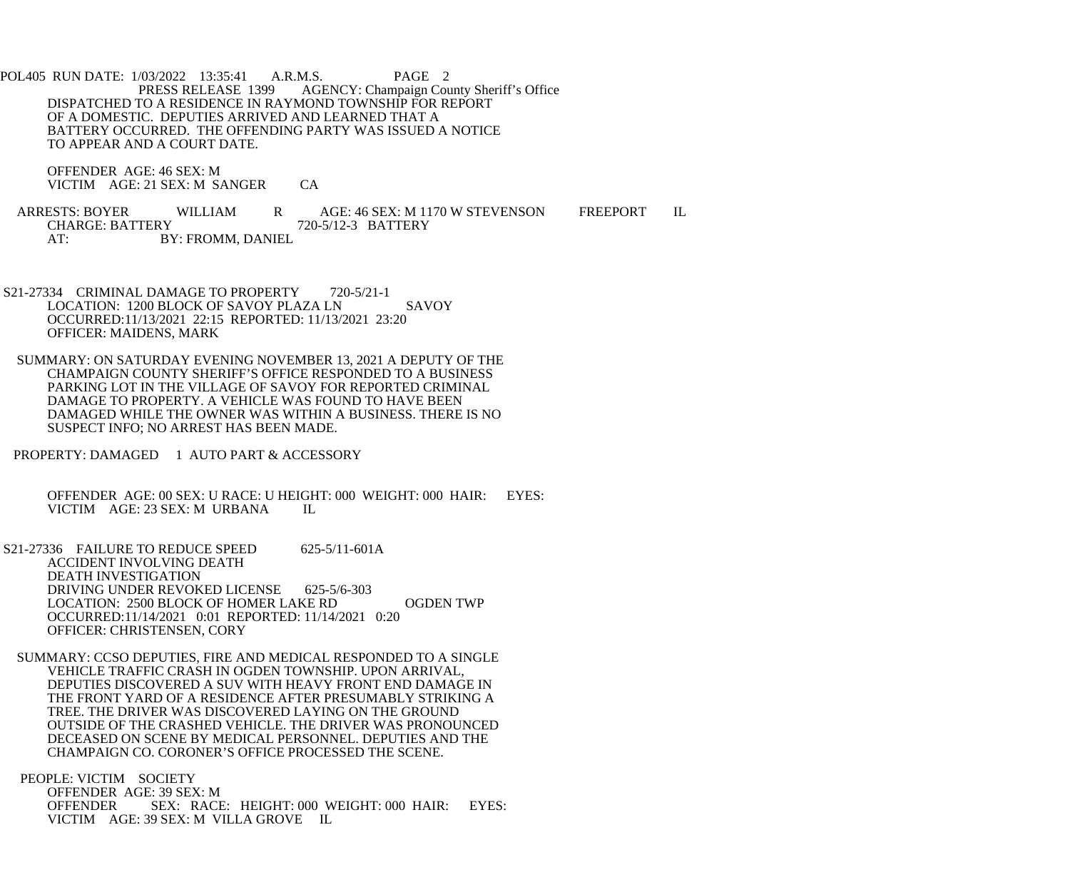POL405 RUN DATE: 1/03/2022 13:35:41 A.R.M.S. PAGE 2<br>PRESS RELEASE 1399 AGENCY: Champaign Cou AGENCY: Champaign County Sheriff's Office DISPATCHED TO A RESIDENCE IN RAYMOND TOWNSHIP FOR REPORT OF A DOMESTIC. DEPUTIES ARRIVED AND LEARNED THAT A BATTERY OCCURRED. THE OFFENDING PARTY WAS ISSUED A NOTICE TO APPEAR AND A COURT DATE.

 OFFENDER AGE: 46 SEX: M VICTIM AGE: 21 SEX: M SANGER CA

ARRESTS: BOYER WILLIAM R AGE: 46 SEX: M 1170 W STEVENSON FREEPORT IL<br>CHARGE: BATTERY 720-5/12-3 BATTERY CHARGE: BATTERY 720-5/12-3 BATTERY AT: BY: FROMM, DANIEL

- S21-27334 CRIMINAL DAMAGE TO PROPERTY 720-5/21-1 LOCATION: 1200 BLOCK OF SAVOY PLAZA LN SAVOY OCCURRED:11/13/2021 22:15 REPORTED: 11/13/2021 23:20 OFFICER: MAIDENS, MARK
- SUMMARY: ON SATURDAY EVENING NOVEMBER 13, 2021 A DEPUTY OF THE CHAMPAIGN COUNTY SHERIFF'S OFFICE RESPONDED TO A BUSINESS PARKING LOT IN THE VILLAGE OF SAVOY FOR REPORTED CRIMINAL DAMAGE TO PROPERTY. A VEHICLE WAS FOUND TO HAVE BEEN DAMAGED WHILE THE OWNER WAS WITHIN A BUSINESS. THERE IS NO SUSPECT INFO; NO ARREST HAS BEEN MADE.
- PROPERTY: DAMAGED 1 AUTO PART & ACCESSORY

 OFFENDER AGE: 00 SEX: U RACE: U HEIGHT: 000 WEIGHT: 000 HAIR: EYES: VICTIM AGE: 23 SEX: M URBANA IL

 S21-27336 FAILURE TO REDUCE SPEED 625-5/11-601A ACCIDENT INVOLVING DEATH DEATH INVESTIGATION DRIVING UNDER REVOKED LICENSE 625-5/6-303 LOCATION: 2500 BLOCK OF HOMER LAKE RD OGDEN TWP OCCURRED:11/14/2021 0:01 REPORTED: 11/14/2021 0:20 OFFICER: CHRISTENSEN, CORY

 SUMMARY: CCSO DEPUTIES, FIRE AND MEDICAL RESPONDED TO A SINGLE VEHICLE TRAFFIC CRASH IN OGDEN TOWNSHIP. UPON ARRIVAL, DEPUTIES DISCOVERED A SUV WITH HEAVY FRONT END DAMAGE IN THE FRONT YARD OF A RESIDENCE AFTER PRESUMABLY STRIKING A TREE. THE DRIVER WAS DISCOVERED LAYING ON THE GROUND OUTSIDE OF THE CRASHED VEHICLE. THE DRIVER WAS PRONOUNCED DECEASED ON SCENE BY MEDICAL PERSONNEL. DEPUTIES AND THE CHAMPAIGN CO. CORONER'S OFFICE PROCESSED THE SCENE.

 PEOPLE: VICTIM SOCIETY OFFENDER AGE: 39 SEX: M OFFENDER SEX: RACE: HEIGHT: 000 WEIGHT: 000 HAIR: EYES: VICTIM AGE: 39 SEX: M VILLA GROVE IL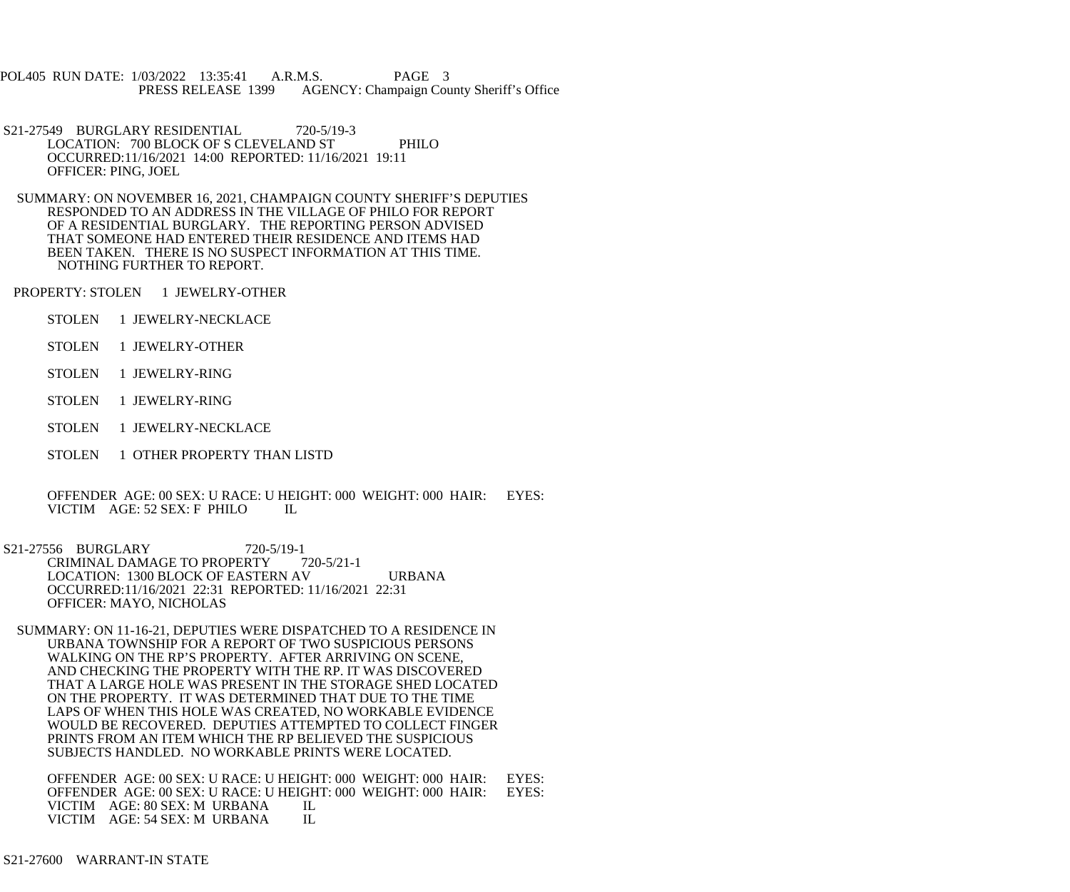POL405 RUN DATE: 1/03/2022 13:35:41 A.R.M.S. PAGE 3 PRESS RELEASE 1399 AGENCY: Champaign County Sheriff's Office

- S21-27549 BURGLARY RESIDENTIAL 720-5/19-3 LOCATION: 700 BLOCK OF S CLEVELAND ST PHILO OCCURRED:11/16/2021 14:00 REPORTED: 11/16/2021 19:11 OFFICER: PING, JOEL
- SUMMARY: ON NOVEMBER 16, 2021, CHAMPAIGN COUNTY SHERIFF'S DEPUTIES RESPONDED TO AN ADDRESS IN THE VILLAGE OF PHILO FOR REPORT OF A RESIDENTIAL BURGLARY. THE REPORTING PERSON ADVISED THAT SOMEONE HAD ENTERED THEIR RESIDENCE AND ITEMS HAD BEEN TAKEN. THERE IS NO SUSPECT INFORMATION AT THIS TIME. NOTHING FURTHER TO REPORT.

PROPERTY: STOLEN 1 JEWELRY-OTHER

- STOLEN 1 JEWELRY-NECKLACE
- STOLEN 1 JEWELRY-OTHER
- STOLEN 1 JEWELRY-RING
- STOLEN 1 JEWELRY-RING
- STOLEN 1 JEWELRY-NECKLACE
- STOLEN 1 OTHER PROPERTY THAN LISTD

 OFFENDER AGE: 00 SEX: U RACE: U HEIGHT: 000 WEIGHT: 000 HAIR: EYES: VICTIM AGE: 52 SEX: F PHILO IL

- S21-27556 BURGLARY 720-5/19-1<br>CRIMINAL DAMAGE TO PROPERTY 720-5/21-1 CRIMINAL DAMAGE TO PROPERTY LOCATION: 1300 BLOCK OF EASTERN AV URBANA OCCURRED:11/16/2021 22:31 REPORTED: 11/16/2021 22:31 OFFICER: MAYO, NICHOLAS
	- SUMMARY: ON 11-16-21, DEPUTIES WERE DISPATCHED TO A RESIDENCE IN URBANA TOWNSHIP FOR A REPORT OF TWO SUSPICIOUS PERSONS WALKING ON THE RP'S PROPERTY. AFTER ARRIVING ON SCENE, AND CHECKING THE PROPERTY WITH THE RP. IT WAS DISCOVERED THAT A LARGE HOLE WAS PRESENT IN THE STORAGE SHED LOCATED ON THE PROPERTY. IT WAS DETERMINED THAT DUE TO THE TIME LAPS OF WHEN THIS HOLE WAS CREATED, NO WORKABLE EVIDENCE WOULD BE RECOVERED. DEPUTIES ATTEMPTED TO COLLECT FINGER PRINTS FROM AN ITEM WHICH THE RP BELIEVED THE SUSPICIOUS SUBJECTS HANDLED. NO WORKABLE PRINTS WERE LOCATED.

OFFENDER AGE: 00 SEX: U RACE: U HEIGHT: 000 WEIGHT: 000 HAIR: EYES: OFFENDER AGE: 00 SEX: U RACE: U HEIGHT: 000 WEIGHT: 000 HAIR: EYES: OFFENDER AGE: 00 SEX: U RACE: U HEIGHT: 000 WEIGHT: 000 HAIR: VICTIM AGE: 80 SEX: M URBANA LL VICTIM AGE: 80 SEX: M URBANA IL<br>VICTIM AGE: 54 SEX: M URBANA IL VICTIM AGE: 54 SEX: M URBANA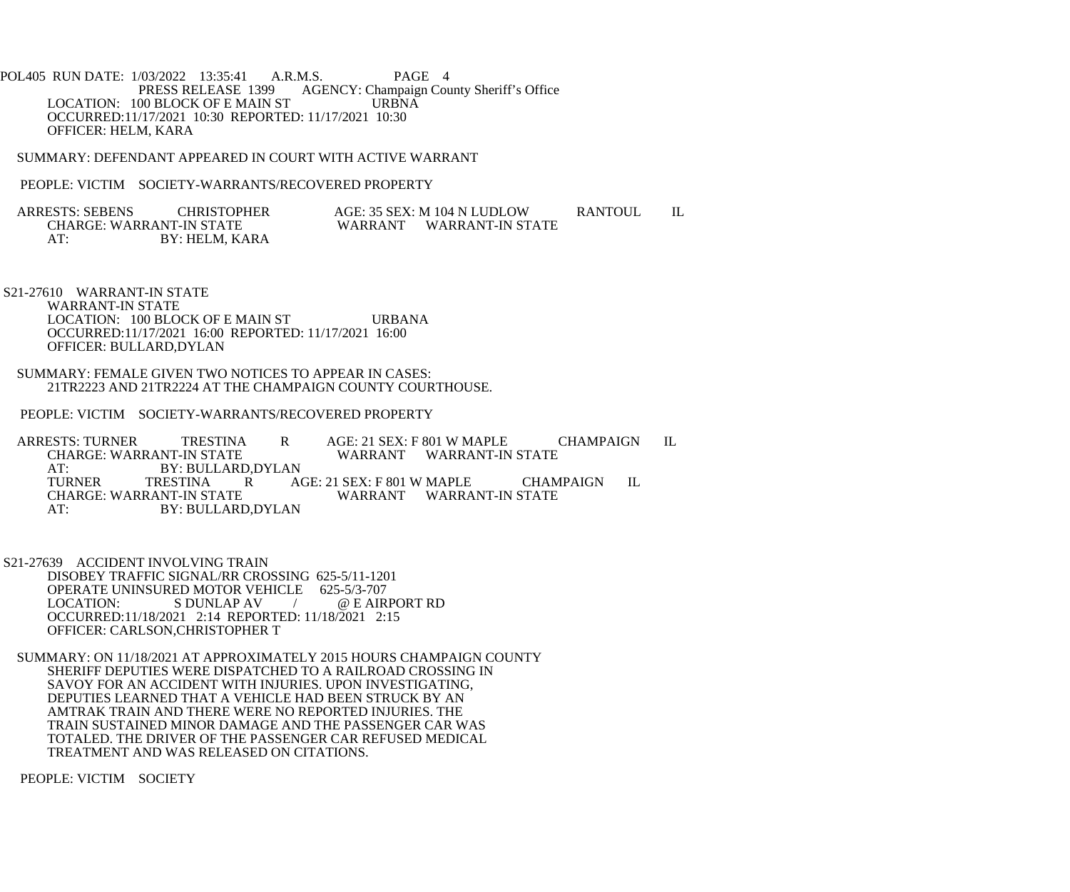POL405 RUN DATE: 1/03/2022 13:35:41 A.R.M.S. PAGE 4<br>PRESS RELEASE 1399 AGENCY: Champaign Cou AGENCY: Champaign County Sheriff's Office<br>URBNA LOCATION: 100 BLOCK OF E MAIN ST OCCURRED:11/17/2021 10:30 REPORTED: 11/17/2021 10:30 OFFICER: HELM, KARA

SUMMARY: DEFENDANT APPEARED IN COURT WITH ACTIVE WARRANT

PEOPLE: VICTIM SOCIETY-WARRANTS/RECOVERED PROPERTY

ARRESTS: SEBENS CHRISTOPHER AGE: 35 SEX: M 104 N LUDLOW RANTOUL IL CHARGE: WARRANT-IN STATE WARRANT WARRANT-IN STATE AT: BY: HELM, KARA

 S21-27610 WARRANT-IN STATE WARRANT-IN STATE LOCATION: 100 BLOCK OF E MAIN ST URBANA OCCURRED:11/17/2021 16:00 REPORTED: 11/17/2021 16:00 OFFICER: BULLARD,DYLAN

 SUMMARY: FEMALE GIVEN TWO NOTICES TO APPEAR IN CASES: 21TR2223 AND 21TR2224 AT THE CHAMPAIGN COUNTY COURTHOUSE.

PEOPLE: VICTIM SOCIETY-WARRANTS/RECOVERED PROPERTY

ARRESTS: TURNER TRESTINA R AGE: 21 SEX: F 801 W MAPLE CHAMPAIGN IL<br>CHARGE: WARRANT-IN STATE WARRANT WARRANT-IN STATE WARRANT WARRANT-IN STATE AT: BY: BULLARD, DYLAN<br>TURNER TRESTINA R A TURNER TRESTINA R AGE: 21 SEX: F 801 W MAPLE CHAMPAIGN IL CHARGE: WARRANT-IN STATE WARRANT WARRANT-IN STATE AT: BY: BULLARD,DYLAN

 S21-27639 ACCIDENT INVOLVING TRAIN DISOBEY TRAFFIC SIGNAL/RR CROSSING 625-5/11-1201 OPERATE UNINSURED MOTOR VEHICLE 625-5/3-707<br>LOCATION: S DUNLAP AV (@E AIR / @ E AIRPORT RD OCCURRED:11/18/2021 2:14 REPORTED: 11/18/2021 2:15 OFFICER: CARLSON,CHRISTOPHER T

 SUMMARY: ON 11/18/2021 AT APPROXIMATELY 2015 HOURS CHAMPAIGN COUNTY SHERIFF DEPUTIES WERE DISPATCHED TO A RAILROAD CROSSING IN SAVOY FOR AN ACCIDENT WITH INJURIES. UPON INVESTIGATING, DEPUTIES LEARNED THAT A VEHICLE HAD BEEN STRUCK BY AN AMTRAK TRAIN AND THERE WERE NO REPORTED INJURIES. THE TRAIN SUSTAINED MINOR DAMAGE AND THE PASSENGER CAR WAS TOTALED. THE DRIVER OF THE PASSENGER CAR REFUSED MEDICAL TREATMENT AND WAS RELEASED ON CITATIONS.

PEOPLE: VICTIM SOCIETY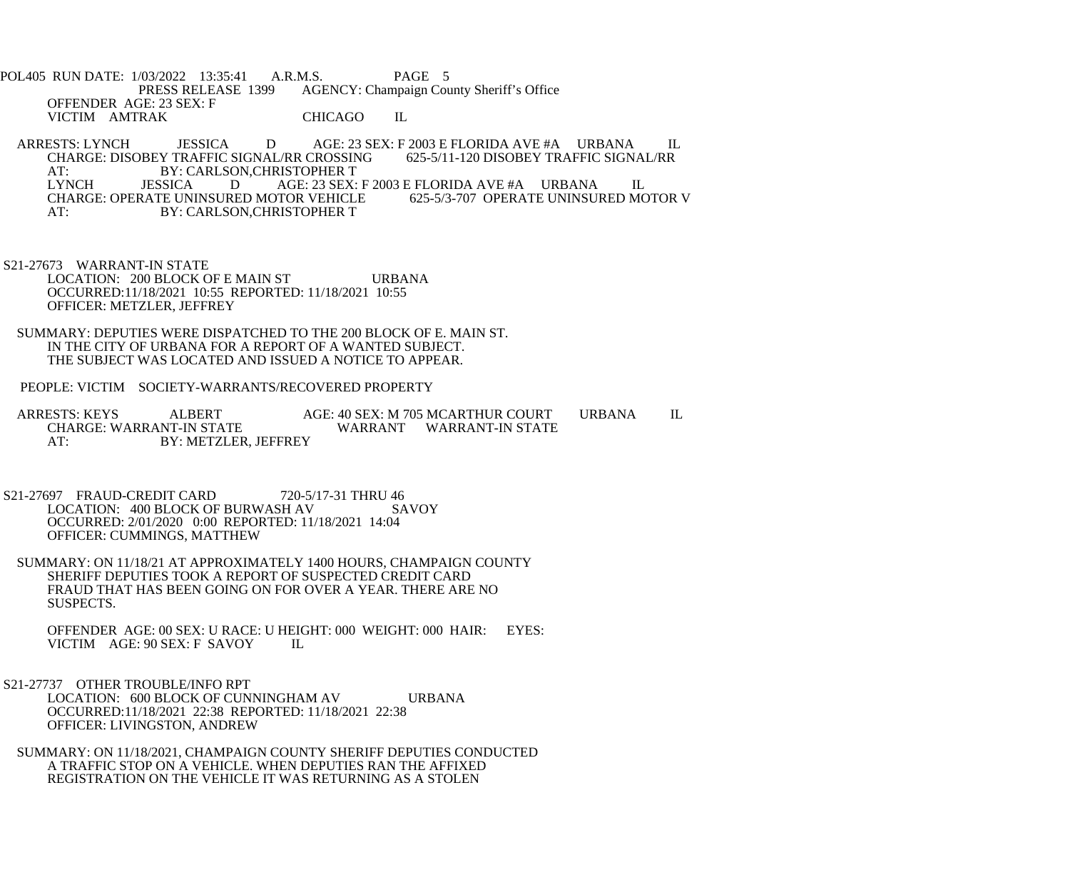POL405 RUN DATE: 1/03/2022 13:35:41 A.R.M.S. PAGE 5<br>PRESS RELEASE 1399 AGENCY: Champaign Cou AGENCY: Champaign County Sheriff's Office OFFENDER AGE: 23 SEX: F VICTIM AMTRAK CHICAGO IL

ARRESTS: LYNCH JESSICA D AGE: 23 SEX: F 2003 E FLORIDA AVE #A URBANA IL<br>CHARGE: DISOBEY TRAFFIC SIGNAL/RR CROSSING 625-5/11-120 DISOBEY TRAFFIC SIGNAL/RR CHARGE: DISOBEY TRAFFIC SIGNAL/RR CROSSING AT: BY: CARLSON, CHRISTOPHER T<br>LYNCH JESSICA D AGE: 23 SEX: AGE: 23 SEX: F 2003 E FLORIDA AVE #A URBANA IL<br>TOR VEHICLE 625-5/3-707 OPERATE UNINSURED MOTOR V CHARGE: OPERATE UNINSURED MOTOR VEHICLE AT: BY: CARLSON,CHRISTOPHER T

- S21-27673 WARRANT-IN STATE LOCATION: 200 BLOCK OF E MAIN ST URBANA OCCURRED:11/18/2021 10:55 REPORTED: 11/18/2021 10:55 OFFICER: METZLER, JEFFREY
- SUMMARY: DEPUTIES WERE DISPATCHED TO THE 200 BLOCK OF E. MAIN ST. IN THE CITY OF URBANA FOR A REPORT OF A WANTED SUBJECT. THE SUBJECT WAS LOCATED AND ISSUED A NOTICE TO APPEAR.
- PEOPLE: VICTIM SOCIETY-WARRANTS/RECOVERED PROPERTY

ARRESTS: KEYS ALBERT AGE: 40 SEX: M 705 MCARTHUR COURT URBANA IL CHARGE: WARRANT-IN STATE WARRANT WARRANT-IN STATE AT: BY: METZLER, JEFFREY

- S21-27697 FRAUD-CREDIT CARD 720-5/17-31 THRU 46<br>LOCATION: 400 BLOCK OF BURWASH AV SAVOY LOCATION: 400 BLOCK OF BURWASH AV OCCURRED: 2/01/2020 0:00 REPORTED: 11/18/2021 14:04 OFFICER: CUMMINGS, MATTHEW
- SUMMARY: ON 11/18/21 AT APPROXIMATELY 1400 HOURS, CHAMPAIGN COUNTY SHERIFF DEPUTIES TOOK A REPORT OF SUSPECTED CREDIT CARD FRAUD THAT HAS BEEN GOING ON FOR OVER A YEAR. THERE ARE NO SUSPECTS.

OFFENDER AGE: 00 SEX: U RACE: U HEIGHT: 000 WEIGHT: 000 HAIR: EYES: VICTIM AGE: 90 SEX: F SAVOY VICTIM AGE: 90 SEX: F SAVOY

 S21-27737 OTHER TROUBLE/INFO RPT LOCATION: 600 BLOCK OF CUNNINGHAM AV URBANA OCCURRED:11/18/2021 22:38 REPORTED: 11/18/2021 22:38 OFFICER: LIVINGSTON, ANDREW

 SUMMARY: ON 11/18/2021, CHAMPAIGN COUNTY SHERIFF DEPUTIES CONDUCTED A TRAFFIC STOP ON A VEHICLE. WHEN DEPUTIES RAN THE AFFIXED REGISTRATION ON THE VEHICLE IT WAS RETURNING AS A STOLEN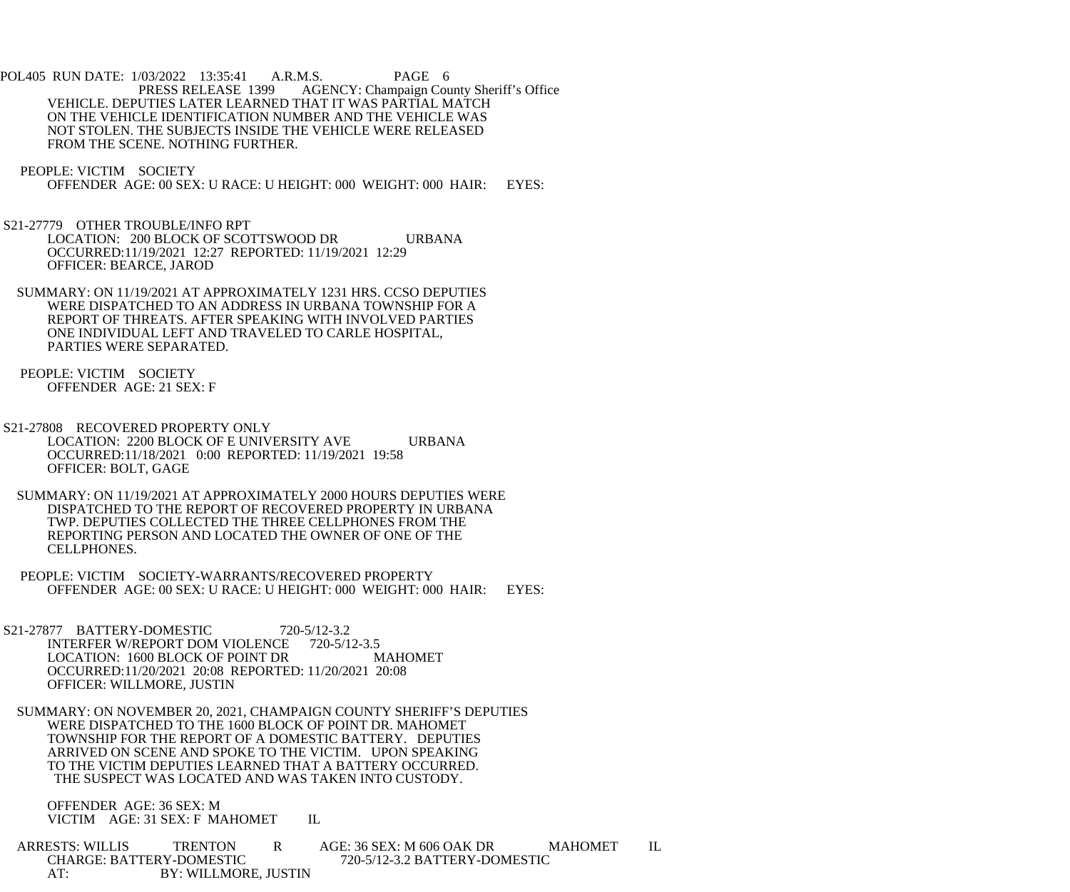POL405 RUN DATE: 1/03/2022 13:35:41 A.R.M.S. PAGE 6<br>PRESS RELEASE 1399 AGENCY: Champaign Cou AGENCY: Champaign County Sheriff's Office VEHICLE. DEPUTIES LATER LEARNED THAT IT WAS PARTIAL MATCH ON THE VEHICLE IDENTIFICATION NUMBER AND THE VEHICLE WAS NOT STOLEN. THE SUBJECTS INSIDE THE VEHICLE WERE RELEASED FROM THE SCENE. NOTHING FURTHER.

PEOPLE: VICTIM SOCIETY

OFFENDER AGE: 00 SEX: U RACE: U HEIGHT: 000 WEIGHT: 000 HAIR: EYES:

 S21-27779 OTHER TROUBLE/INFO RPT LOCATION: 200 BLOCK OF SCOTTSWOOD DR URBANA OCCURRED:11/19/2021 12:27 REPORTED: 11/19/2021 12:29 OFFICER: BEARCE, JAROD

 SUMMARY: ON 11/19/2021 AT APPROXIMATELY 1231 HRS. CCSO DEPUTIES WERE DISPATCHED TO AN ADDRESS IN URBANA TOWNSHIP FOR A REPORT OF THREATS. AFTER SPEAKING WITH INVOLVED PARTIES ONE INDIVIDUAL LEFT AND TRAVELED TO CARLE HOSPITAL, PARTIES WERE SEPARATED.

 PEOPLE: VICTIM SOCIETY OFFENDER AGE: 21 SEX: F

 S21-27808 RECOVERED PROPERTY ONLY LOCATION: 2200 BLOCK OF E UNIVERSITY AVE URBANA OCCURRED:11/18/2021 0:00 REPORTED: 11/19/2021 19:58 OFFICER: BOLT, GAGE

 SUMMARY: ON 11/19/2021 AT APPROXIMATELY 2000 HOURS DEPUTIES WERE DISPATCHED TO THE REPORT OF RECOVERED PROPERTY IN URBANA TWP. DEPUTIES COLLECTED THE THREE CELLPHONES FROM THE REPORTING PERSON AND LOCATED THE OWNER OF ONE OF THE CELLPHONES.

 PEOPLE: VICTIM SOCIETY-WARRANTS/RECOVERED PROPERTY OFFENDER AGE: 00 SEX: U RACE: U HEIGHT: 000 WEIGHT: 000 HAIR: EYES:

S21-27877 BATTERY-DOMESTIC 720-5/12-3.2 INTERFER W/REPORT DOM VIOLENCE 720-5/12-3.5 LOCATION: 1600 BLOCK OF POINT DR MAHOMET OCCURRED:11/20/2021 20:08 REPORTED: 11/20/2021 20:08 OFFICER: WILLMORE, JUSTIN

 SUMMARY: ON NOVEMBER 20, 2021, CHAMPAIGN COUNTY SHERIFF'S DEPUTIES WERE DISPATCHED TO THE 1600 BLOCK OF POINT DR. MAHOMET TOWNSHIP FOR THE REPORT OF A DOMESTIC BATTERY. DEPUTIES ARRIVED ON SCENE AND SPOKE TO THE VICTIM. UPON SPEAKING TO THE VICTIM DEPUTIES LEARNED THAT A BATTERY OCCURRED. THE SUSPECT WAS LOCATED AND WAS TAKEN INTO CUSTODY.

 OFFENDER AGE: 36 SEX: M VICTIM AGE: 31 SEX: F MAHOMET IL

ARRESTS: WILLIS TRENTON R AGE: 36 SEX: M 606 OAK DR MAHOMET IL<br>CHARGE: BATTERY-DOMESTIC 720-5/12-3.2 BATTERY-DOMESTIC 720-5/12-3.2 BATTERY-DOMESTIC AT: BY: WILLMORE, JUSTIN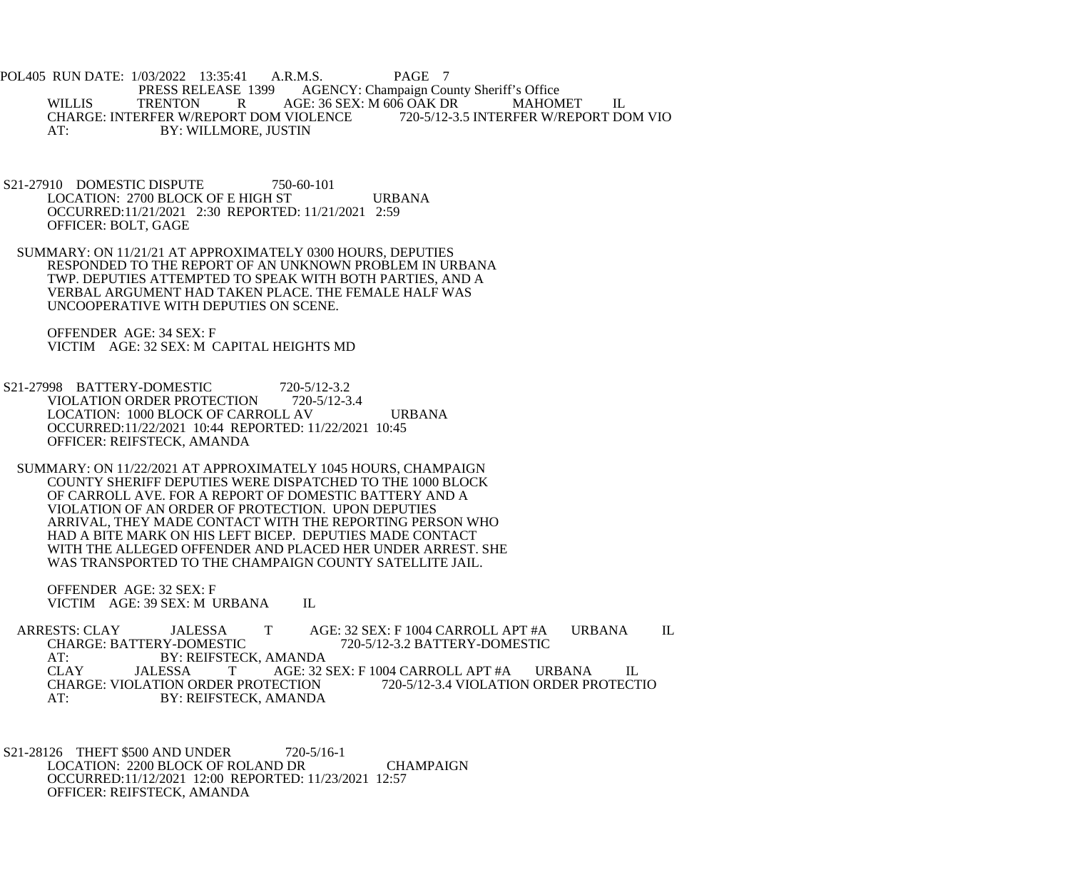POL405 RUN DATE: 1/03/2022 13:35:41 A.R.M.S. PAGE 7<br>PRESS RELEASE 1399 AGENCY: Champaign Cou PRESS RELEASE 1399 AGENCY: Champaign County Sheriff's Office<br>WILLIS TRENTON R AGE: 36 SEX: M 606 OAK DR MAHOM TRENTON R AGE: 36 SEX: M 606 OAK DR MAHOMET IL<br>ERFER W/REPORT DOM VIOLENCE 720-5/12-3.5 INTERFER W/REPORT DOM VIO CHARGE: INTERFER W/REPORT DOM VIOLENCE AT: BY: WILLMORE, JUSTIN

- S21-27910 DOMESTIC DISPUTE 750-60-101 LOCATION: 2700 BLOCK OF E HIGH ST URBANA OCCURRED:11/21/2021 2:30 REPORTED: 11/21/2021 2:59 OFFICER: BOLT, GAGE
- SUMMARY: ON 11/21/21 AT APPROXIMATELY 0300 HOURS, DEPUTIES RESPONDED TO THE REPORT OF AN UNKNOWN PROBLEM IN URBANA TWP. DEPUTIES ATTEMPTED TO SPEAK WITH BOTH PARTIES, AND A VERBAL ARGUMENT HAD TAKEN PLACE. THE FEMALE HALF WAS UNCOOPERATIVE WITH DEPUTIES ON SCENE.

 OFFENDER AGE: 34 SEX: F VICTIM AGE: 32 SEX: M CAPITAL HEIGHTS MD

- S21-27998 BATTERY-DOMESTIC 720-5/12-3.2<br>VIOLATION ORDER PROTECTION 720-5/12-3.4 VIOLATION ORDER PROTECTION LOCATION: 1000 BLOCK OF CARROLL AV URBANA OCCURRED:11/22/2021 10:44 REPORTED: 11/22/2021 10:45 OFFICER: REIFSTECK, AMANDA
	- SUMMARY: ON 11/22/2021 AT APPROXIMATELY 1045 HOURS, CHAMPAIGN COUNTY SHERIFF DEPUTIES WERE DISPATCHED TO THE 1000 BLOCK OF CARROLL AVE. FOR A REPORT OF DOMESTIC BATTERY AND A VIOLATION OF AN ORDER OF PROTECTION. UPON DEPUTIES ARRIVAL, THEY MADE CONTACT WITH THE REPORTING PERSON WHO HAD A BITE MARK ON HIS LEFT BICEP. DEPUTIES MADE CONTACT WITH THE ALLEGED OFFENDER AND PLACED HER UNDER ARREST. SHE WAS TRANSPORTED TO THE CHAMPAIGN COUNTY SATELLITE JAIL.

 OFFENDER AGE: 32 SEX: F VICTIM AGE: 39 SEX: M URBANA IL

ARRESTS: CLAY JALESSA T AGE: 32 SEX: F 1004 CARROLL APT #A URBANA IL CHARGE: BATTERY-DOMESTIC 720-5/12-3.2 BATTERY-DOMESTIC 720-5/12-3.2 BATTERY-DOMESTIC AT: BY: REIFSTECK, AMANDA<br>CLAY JALESSA T AGE: 32 S AGE: 32 SEX: F 1004 CARROLL APT #A URBANA IL<br>ECTION 720-5/12-3.4 VIOLATION ORDER PROTECTIO CHARGE: VIOLATION ORDER PROTECTION AT: BY: REIFSTECK, AMANDA

 S21-28126 THEFT \$500 AND UNDER 720-5/16-1 LOCATION: 2200 BLOCK OF ROLAND DR CHAMPAIGN OCCURRED:11/12/2021 12:00 REPORTED: 11/23/2021 12:57 OFFICER: REIFSTECK, AMANDA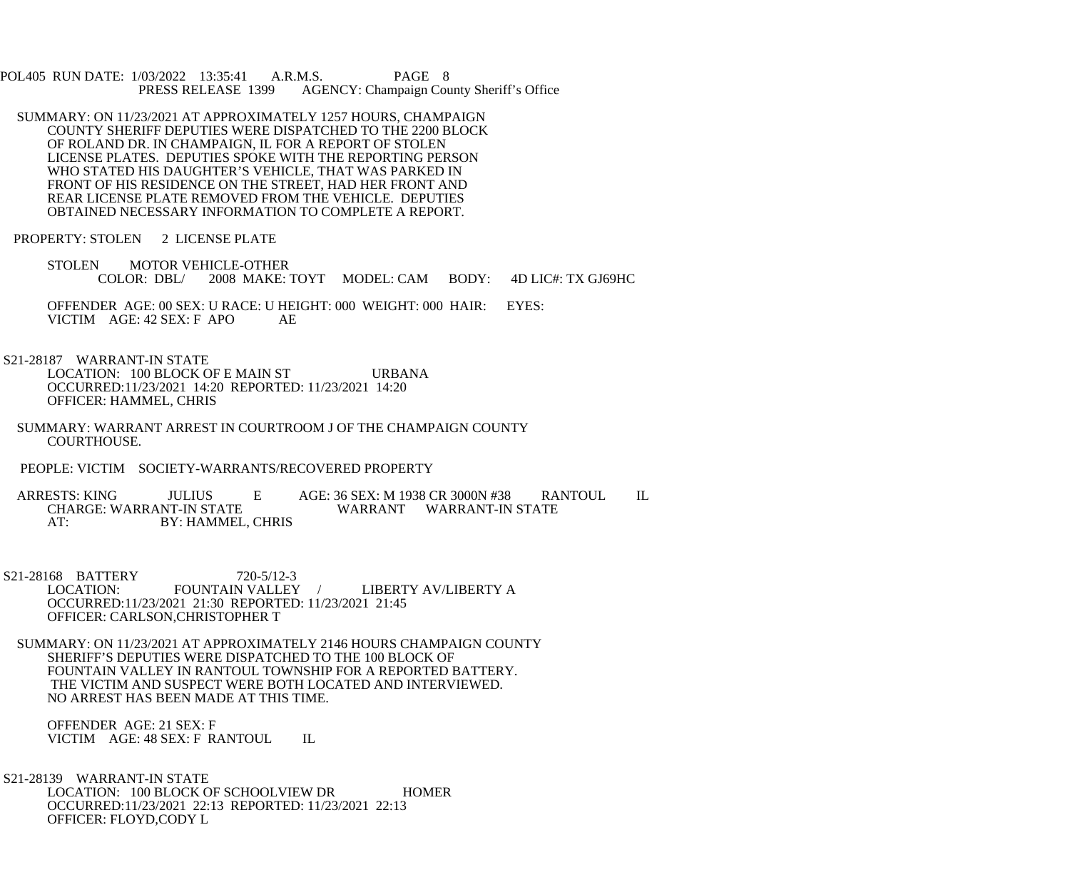POL405 RUN DATE: 1/03/2022 13:35:41 A.R.M.S. PAGE 8<br>PRESS RELEASE 1399 AGENCY: Champaign Cou AGENCY: Champaign County Sheriff's Office

- SUMMARY: ON 11/23/2021 AT APPROXIMATELY 1257 HOURS, CHAMPAIGN COUNTY SHERIFF DEPUTIES WERE DISPATCHED TO THE 2200 BLOCK OF ROLAND DR. IN CHAMPAIGN, IL FOR A REPORT OF STOLEN LICENSE PLATES. DEPUTIES SPOKE WITH THE REPORTING PERSON WHO STATED HIS DAUGHTER'S VEHICLE, THAT WAS PARKED IN FRONT OF HIS RESIDENCE ON THE STREET, HAD HER FRONT AND REAR LICENSE PLATE REMOVED FROM THE VEHICLE. DEPUTIES OBTAINED NECESSARY INFORMATION TO COMPLETE A REPORT.
- PROPERTY: STOLEN 2 LICENSE PLATE
	- STOLEN MOTOR VEHICLE-OTHER COLOR: DBL/ 2008 MAKE: TOYT MODEL: CAM BODY: 4D LIC#: TX GJ69HC
	- OFFENDER AGE: 00 SEX: U RACE: U HEIGHT: 000 WEIGHT: 000 HAIR: EYES: VICTIM AGE: 42 SEX: F APO AE
- S21-28187 WARRANT-IN STATE LOCATION: 100 BLOCK OF E MAIN ST URBANA OCCURRED:11/23/2021 14:20 REPORTED: 11/23/2021 14:20 OFFICER: HAMMEL, CHRIS
- SUMMARY: WARRANT ARREST IN COURTROOM J OF THE CHAMPAIGN COUNTY COURTHOUSE.
- PEOPLE: VICTIM SOCIETY-WARRANTS/RECOVERED PROPERTY
- ARRESTS: KING JULIUS E AGE: 36 SEX: M 1938 CR 3000N #38 RANTOUL IL<br>CHARGE: WARRANT-IN STATE WARRANT WARRANT-IN STATE WARRANT WARRANT-IN STATE AT: BY: HAMMEL, CHRIS
- S21-28168 BATTERY 720-5/12-3<br>LOCATION: FOUNTAIN VALLEY FOUNTAIN VALLEY / LIBERTY AV/LIBERTY A OCCURRED:11/23/2021 21:30 REPORTED: 11/23/2021 21:45 OFFICER: CARLSON,CHRISTOPHER T
- SUMMARY: ON 11/23/2021 AT APPROXIMATELY 2146 HOURS CHAMPAIGN COUNTY SHERIFF'S DEPUTIES WERE DISPATCHED TO THE 100 BLOCK OF FOUNTAIN VALLEY IN RANTOUL TOWNSHIP FOR A REPORTED BATTERY. THE VICTIM AND SUSPECT WERE BOTH LOCATED AND INTERVIEWED. NO ARREST HAS BEEN MADE AT THIS TIME.
	- OFFENDER AGE: 21 SEX: F VICTIM AGE: 48 SEX: F RANTOUL IL
- S21-28139 WARRANT-IN STATE LOCATION: 100 BLOCK OF SCHOOLVIEW DR HOMER OCCURRED:11/23/2021 22:13 REPORTED: 11/23/2021 22:13 OFFICER: FLOYD,CODY L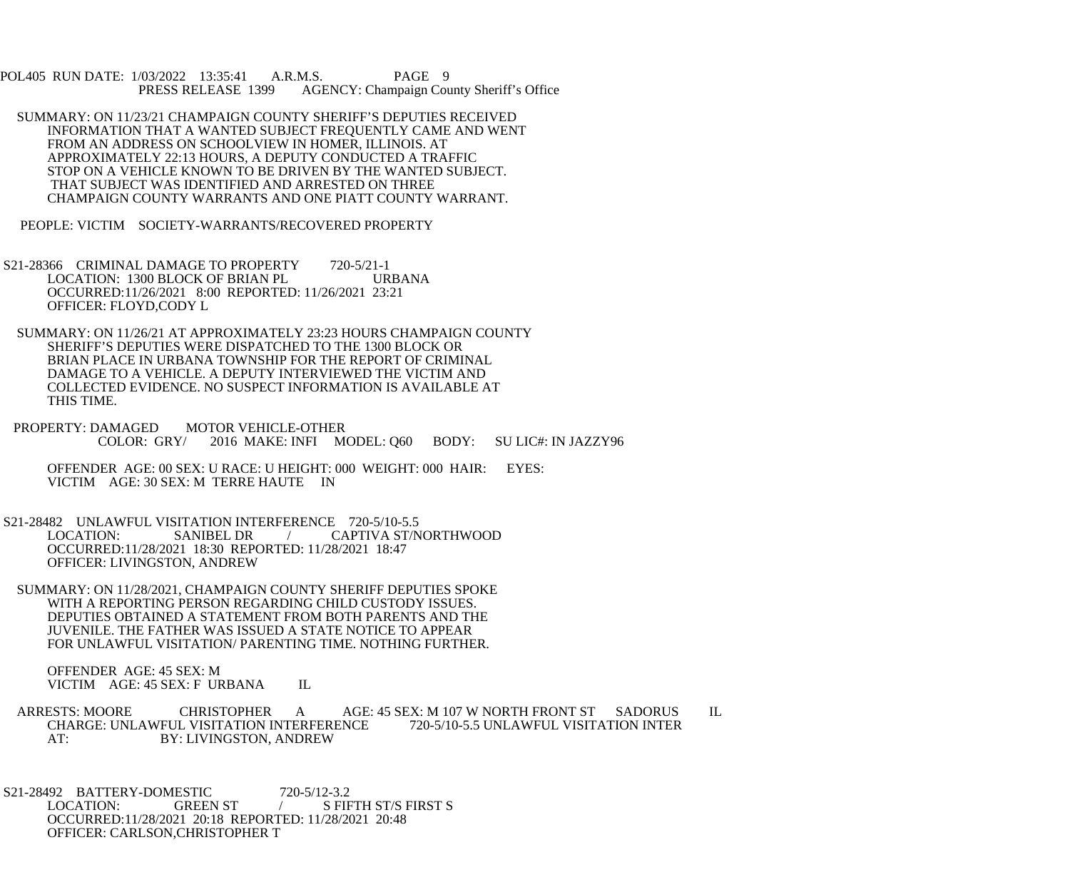POL405 RUN DATE: 1/03/2022 13:35:41 A.R.M.S. PAGE 9 PRESS RELEASE 1399 AGENCY: Champaign County Sheriff's Office

- SUMMARY: ON 11/23/21 CHAMPAIGN COUNTY SHERIFF'S DEPUTIES RECEIVED INFORMATION THAT A WANTED SUBJECT FREQUENTLY CAME AND WENT FROM AN ADDRESS ON SCHOOLVIEW IN HOMER, ILLINOIS. AT APPROXIMATELY 22:13 HOURS, A DEPUTY CONDUCTED A TRAFFIC STOP ON A VEHICLE KNOWN TO BE DRIVEN BY THE WANTED SUBJECT. THAT SUBJECT WAS IDENTIFIED AND ARRESTED ON THREE CHAMPAIGN COUNTY WARRANTS AND ONE PIATT COUNTY WARRANT.
- PEOPLE: VICTIM SOCIETY-WARRANTS/RECOVERED PROPERTY
- S21-28366 CRIMINAL DAMAGE TO PROPERTY 720-5/21-1 LOCATION: 1300 BLOCK OF BRIAN PL URBANA OCCURRED:11/26/2021 8:00 REPORTED: 11/26/2021 23:21 OFFICER: FLOYD,CODY L
- SUMMARY: ON 11/26/21 AT APPROXIMATELY 23:23 HOURS CHAMPAIGN COUNTY SHERIFF'S DEPUTIES WERE DISPATCHED TO THE 1300 BLOCK OR BRIAN PLACE IN URBANA TOWNSHIP FOR THE REPORT OF CRIMINAL DAMAGE TO A VEHICLE. A DEPUTY INTERVIEWED THE VICTIM AND COLLECTED EVIDENCE. NO SUSPECT INFORMATION IS AVAILABLE AT THIS TIME.
- PROPERTY: DAMAGED MOTOR VEHICLE-OTHER<br>COLOR: GRY/ 2016 MAKE: INFI M 2016 MAKE: INFI MODEL: Q60 BODY: SU LIC#: IN JAZZY96
	- OFFENDER AGE: 00 SEX: U RACE: U HEIGHT: 000 WEIGHT: 000 HAIR: EYES: VICTIM AGE: 30 SEX: M TERRE HAUTE IN
- S21-28482 UNLAWFUL VISITATION INTERFERENCE 720-5/10-5.5<br>LOCATION: SANIBEL DR / CAPTIVA ST/N / CAPTIVA ST/NORTHWOOD OCCURRED:11/28/2021 18:30 REPORTED: 11/28/2021 18:47 OFFICER: LIVINGSTON, ANDREW
- SUMMARY: ON 11/28/2021, CHAMPAIGN COUNTY SHERIFF DEPUTIES SPOKE WITH A REPORTING PERSON REGARDING CHILD CUSTODY ISSUES. DEPUTIES OBTAINED A STATEMENT FROM BOTH PARENTS AND THE JUVENILE. THE FATHER WAS ISSUED A STATE NOTICE TO APPEAR FOR UNLAWFUL VISITATION/ PARENTING TIME. NOTHING FURTHER.

 OFFENDER AGE: 45 SEX: M VICTIM AGE: 45 SEX: F URBANA IL

ARRESTS: MOORE CHRISTOPHER A AGE: 45 SEX: M 107 W NORTH FRONT ST SADORUS IL CHARGE: UNLAWFUL VISITATION INTER CHARGE: UNLAWFUL VISITATION INTERFERENCE<br>AT: 520-500-51.5 BY: LIVINGSTON. ANDREW BY: LIVINGSTON, ANDREW

S21-28492 BATTERY-DOMESTIC 720-5/12-3.2<br>LOCATION: GREEN ST / SFII LOCATION: GREEN ST / S FIFTH ST/S FIRST S OCCURRED:11/28/2021 20:18 REPORTED: 11/28/2021 20:48 OFFICER: CARLSON,CHRISTOPHER T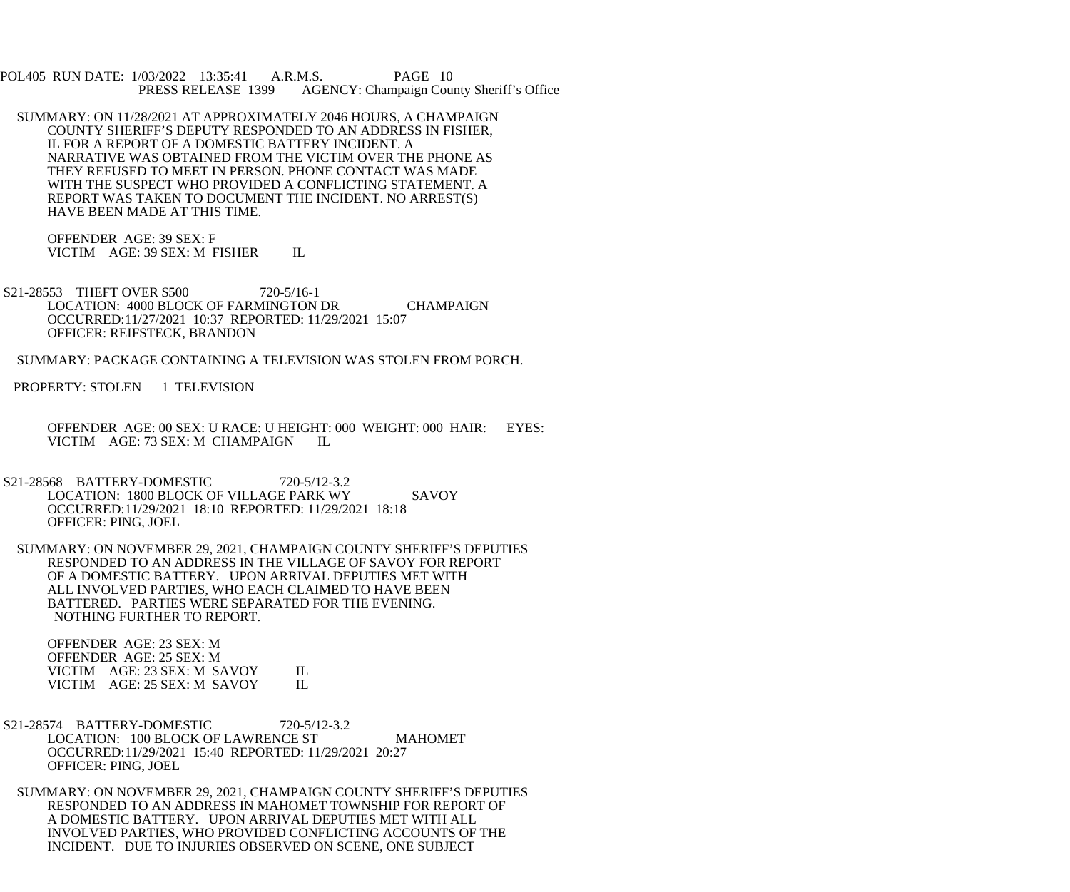POL405 RUN DATE: 1/03/2022 13:35:41 A.R.M.S. PAGE 10<br>PRESS RELEASE 1399 AGENCY: Champaign Cou AGENCY: Champaign County Sheriff's Office

 SUMMARY: ON 11/28/2021 AT APPROXIMATELY 2046 HOURS, A CHAMPAIGN COUNTY SHERIFF'S DEPUTY RESPONDED TO AN ADDRESS IN FISHER, IL FOR A REPORT OF A DOMESTIC BATTERY INCIDENT. A NARRATIVE WAS OBTAINED FROM THE VICTIM OVER THE PHONE AS THEY REFUSED TO MEET IN PERSON. PHONE CONTACT WAS MADE WITH THE SUSPECT WHO PROVIDED A CONFLICTING STATEMENT. A REPORT WAS TAKEN TO DOCUMENT THE INCIDENT. NO ARREST(S) HAVE BEEN MADE AT THIS TIME.

 OFFENDER AGE: 39 SEX: F VICTIM AGE: 39 SEX: M FISHER IL

S21-28553 THEFT OVER \$500 720-5/16-1 LOCATION: 4000 BLOCK OF FARMINGTON DR CHAMPAIGN OCCURRED:11/27/2021 10:37 REPORTED: 11/29/2021 15:07 OFFICER: REIFSTECK, BRANDON

SUMMARY: PACKAGE CONTAINING A TELEVISION WAS STOLEN FROM PORCH.

PROPERTY: STOLEN 1 TELEVISION

- OFFENDER AGE: 00 SEX: U RACE: U HEIGHT: 000 WEIGHT: 000 HAIR: EYES: VICTIM AGE: 73 SEX: M CHAMPAIGN IL
- S21-28568 BATTERY-DOMESTIC 720-5/12-3.2 LOCATION: 1800 BLOCK OF VILLAGE PARK WY SAVOY OCCURRED:11/29/2021 18:10 REPORTED: 11/29/2021 18:18 OFFICER: PING, JOEL
- SUMMARY: ON NOVEMBER 29, 2021, CHAMPAIGN COUNTY SHERIFF'S DEPUTIES RESPONDED TO AN ADDRESS IN THE VILLAGE OF SAVOY FOR REPORT OF A DOMESTIC BATTERY. UPON ARRIVAL DEPUTIES MET WITH ALL INVOLVED PARTIES, WHO EACH CLAIMED TO HAVE BEEN BATTERED. PARTIES WERE SEPARATED FOR THE EVENING. NOTHING FURTHER TO REPORT.

 OFFENDER AGE: 23 SEX: M OFFENDER AGE: 25 SEX: M VICTIM AGE: 23 SEX: M SAVOY IL<br>VICTIM AGE: 25 SEX: M SAVOY IL VICTIM AGE: 25 SEX: M SAVOY

- S21-28574 BATTERY-DOMESTIC 720-5/12-3.2 LOCATION: 100 BLOCK OF LAWRENCE ST MAHOMET OCCURRED:11/29/2021 15:40 REPORTED: 11/29/2021 20:27 OFFICER: PING, JOEL
- SUMMARY: ON NOVEMBER 29, 2021, CHAMPAIGN COUNTY SHERIFF'S DEPUTIES RESPONDED TO AN ADDRESS IN MAHOMET TOWNSHIP FOR REPORT OF A DOMESTIC BATTERY. UPON ARRIVAL DEPUTIES MET WITH ALL INVOLVED PARTIES, WHO PROVIDED CONFLICTING ACCOUNTS OF THE INCIDENT. DUE TO INJURIES OBSERVED ON SCENE, ONE SUBJECT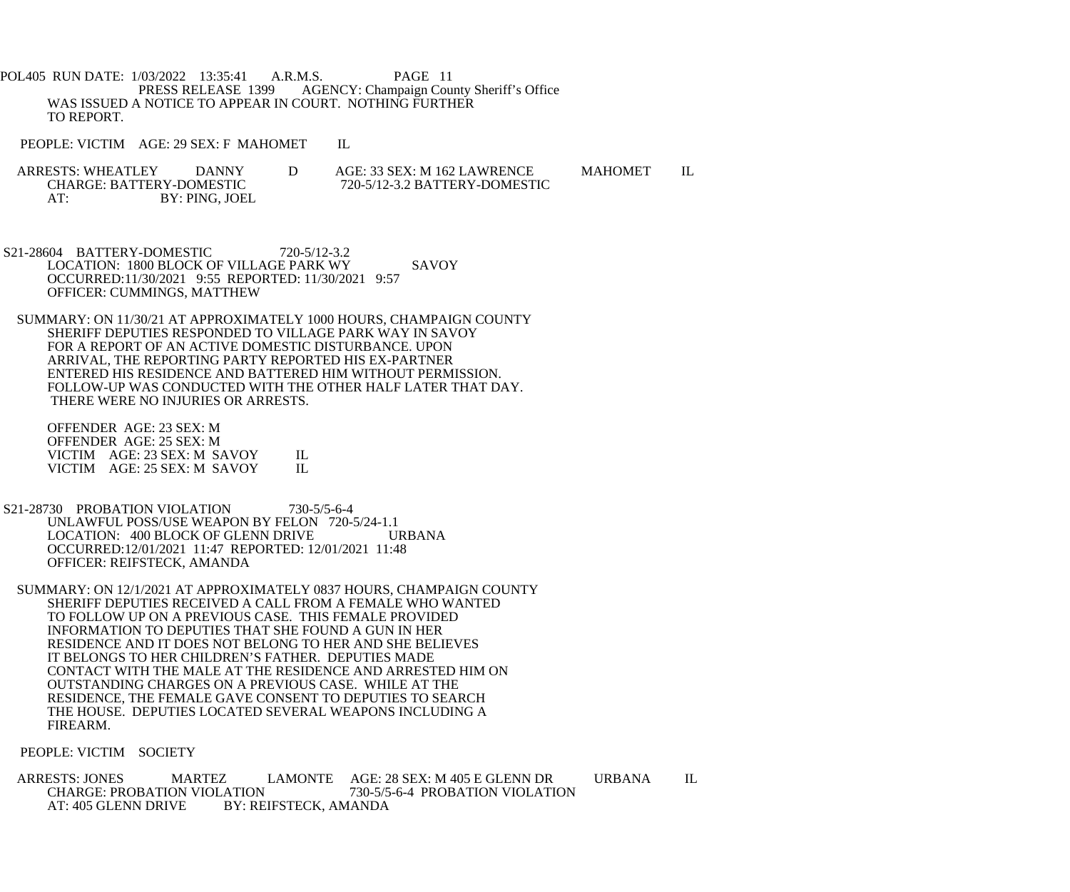POL405 RUN DATE: 1/03/2022 13:35:41 A.R.M.S. PAGE 11<br>PRESS RELEASE 1399 AGENCY: Champaign Cou AGENCY: Champaign County Sheriff's Office WAS ISSUED A NOTICE TO APPEAR IN COURT. NOTHING FURTHER TO REPORT.

PEOPLE: VICTIM AGE: 29 SEX: F MAHOMET IL

- ARRESTS: WHEATLEY DANNY D AGE: 33 SEX: M 162 LAWRENCE MAHOMET IL CHARGE: BATTERY-DOMESTIC 720-5/12-3.2 BATTERY-DOMESTIC CHARGE: BATTERY-DOMESTIC 720-5/12-3.2 BATTERY-DOMESTIC<br>AT: BY: PING. JOEL BY: PING, JOEL
- S21-28604 BATTERY-DOMESTIC 720-5/12-3.2 LOCATION: 1800 BLOCK OF VILLAGE PARK WY SAVOY OCCURRED:11/30/2021 9:55 REPORTED: 11/30/2021 9:57 OFFICER: CUMMINGS, MATTHEW
- SUMMARY: ON 11/30/21 AT APPROXIMATELY 1000 HOURS, CHAMPAIGN COUNTY SHERIFF DEPUTIES RESPONDED TO VILLAGE PARK WAY IN SAVOY FOR A REPORT OF AN ACTIVE DOMESTIC DISTURBANCE. UPON ARRIVAL, THE REPORTING PARTY REPORTED HIS EX-PARTNER ENTERED HIS RESIDENCE AND BATTERED HIM WITHOUT PERMISSION. FOLLOW-UP WAS CONDUCTED WITH THE OTHER HALF LATER THAT DAY. THERE WERE NO INJURIES OR ARRESTS.

 OFFENDER AGE: 23 SEX: M OFFENDER AGE: 25 SEX: M VICTIM AGE: 23 SEX: M SAVOY IL<br>VICTIM AGE: 25 SEX: M SAVOY IL VICTIM AGE: 25 SEX: M SAVOY

- S21-28730 PROBATION VIOLATION 730-5/5-6-4 UNLAWFUL POSS/USE WEAPON BY FELON 720-5/24-1.1 LOCATION: 400 BLOCK OF GLENN DRIVE URBANA OCCURRED:12/01/2021 11:47 REPORTED: 12/01/2021 11:48 OFFICER: REIFSTECK, AMANDA
- SUMMARY: ON 12/1/2021 AT APPROXIMATELY 0837 HOURS, CHAMPAIGN COUNTY SHERIFF DEPUTIES RECEIVED A CALL FROM A FEMALE WHO WANTED TO FOLLOW UP ON A PREVIOUS CASE. THIS FEMALE PROVIDED INFORMATION TO DEPUTIES THAT SHE FOUND A GUN IN HER RESIDENCE AND IT DOES NOT BELONG TO HER AND SHE BELIEVES IT BELONGS TO HER CHILDREN'S FATHER. DEPUTIES MADE CONTACT WITH THE MALE AT THE RESIDENCE AND ARRESTED HIM ON OUTSTANDING CHARGES ON A PREVIOUS CASE. WHILE AT THE RESIDENCE, THE FEMALE GAVE CONSENT TO DEPUTIES TO SEARCH THE HOUSE. DEPUTIES LOCATED SEVERAL WEAPONS INCLUDING A FIREARM.

PEOPLE: VICTIM SOCIETY

ARRESTS: JONES MARTEZ LAMONTE AGE: 28 SEX: M 405 E GLENN DR URBANA IL<br>CHARGE: PROBATION VIOLATION 730-5/5-6-4 PROBATION VIOLATION CHARGE: PROBATION VIOLATION 730-5/5-6-4 PROBATION VIOLATION<br>AT: 405 GLENN DRIVE BY: REIFSTECK. AMANDA BY: REIFSTECK, AMANDA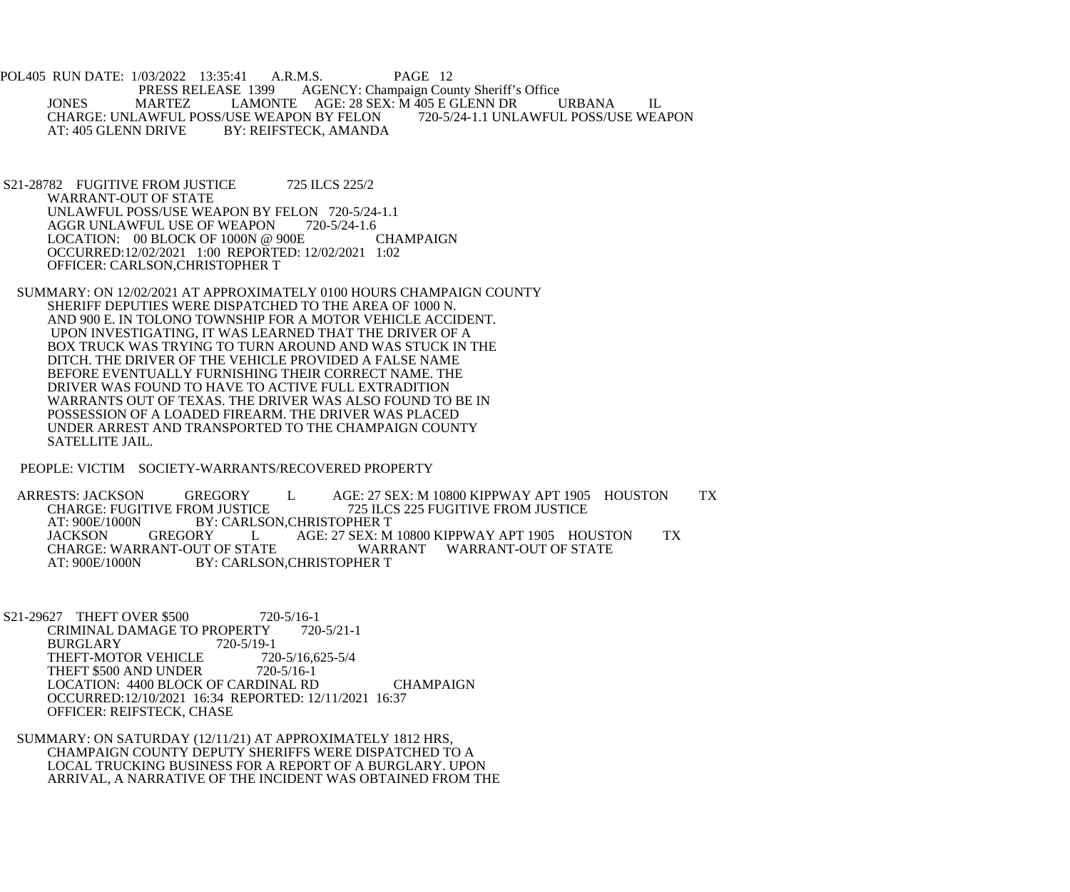POL405 RUN DATE: 1/03/2022 13:35:41 A.R.M.S. PAGE 12 PRESS RELEASE 1399 AGENCY: Champaign County Sheriff's Office JONES MARTEZ LAMONTE AGE: 28 SEX: M 405 E GLENN DR URBANA IL<br>CHARGE: UNLAWFUL POSS/USE WEAPON BY FELON 720-5/24-1.1 UNLAWFUL POSS/USE WEAPON CHARGE: UNLAWFUL POSS/USE WEAPON BY FELON<br>AT: 405 GLENN DRIVE BY: REIFSTECK. AMANDA BY: REIFSTECK, AMANDA

S21-28782 FUGITIVE FROM JUSTICE 725 ILCS 225/2 WARRANT-OUT OF STATE UNLAWFUL POSS/USE WEAPON BY FELON 720-5/24-1.1 AGGR UNLAWFUL USE OF WEAPON 720-5/24-1.6 LOCATION: 00 BLOCK OF 1000N @ 900E CHAMPAIGN OCCURRED:12/02/2021 1:00 REPORTED: 12/02/2021 1:02 OFFICER: CARLSON,CHRISTOPHER T

 SUMMARY: ON 12/02/2021 AT APPROXIMATELY 0100 HOURS CHAMPAIGN COUNTY SHERIFF DEPUTIES WERE DISPATCHED TO THE AREA OF 1000 N. AND 900 E. IN TOLONO TOWNSHIP FOR A MOTOR VEHICLE ACCIDENT. UPON INVESTIGATING, IT WAS LEARNED THAT THE DRIVER OF A BOX TRUCK WAS TRYING TO TURN AROUND AND WAS STUCK IN THE DITCH. THE DRIVER OF THE VEHICLE PROVIDED A FALSE NAME BEFORE EVENTUALLY FURNISHING THEIR CORRECT NAME. THE DRIVER WAS FOUND TO HAVE TO ACTIVE FULL EXTRADITION WARRANTS OUT OF TEXAS. THE DRIVER WAS ALSO FOUND TO BE IN POSSESSION OF A LOADED FIREARM. THE DRIVER WAS PLACED UNDER ARREST AND TRANSPORTED TO THE CHAMPAIGN COUNTY SATELLITE JAIL.

PEOPLE: VICTIM SOCIETY-WARRANTS/RECOVERED PROPERTY

ARRESTS: JACKSON GREGORY L AGE: 27 SEX: M 10800 KIPPWAY APT 1905 HOUSTON TX<br>CHARGE: FUGITIVE FROM JUSTICE 725 ILCS 225 FUGITIVE FROM JUSTICE CHARGE: FUGITIVE FROM JUSTICE<br>AT: 900E/1000N BY: CARLSON.CHRISTOPHER T BY: CARLSON.CHRISTOPHER T JACKSON GREGORY L AGE: 27 SEX: M 10800 KIPPWAY APT 1905 HOUSTON TX CHARGE: WARRANT-OUT OF STATE WARRANT WARRANT-OUT OF STATE<br>AT: 900E/1000N BY: CARLSON,CHRISTOPHER T BY: CARLSON, CHRISTOPHER T

S21-29627 THEFT OVER \$500 720-5/16-1<br>CRIMINAL DAMAGE TO PROPERTY 720-5/21-1 CRIMINAL DAMAGE TO PROPERTY<br>BURGLARY 720-5/19-1 BURGLARY 720-5/19-1<br>THEFT-MOTOR VEHICLE 720-5/16,625-5/4 THEFT-MOTOR VEHICLE 720-5/16,6<br>THEFT \$500 AND UNDER 720-5/16-1 THEFT \$500 AND UNDER LOCATION: 4400 BLOCK OF CARDINAL RD CHAMPAIGN OCCURRED:12/10/2021 16:34 REPORTED: 12/11/2021 16:37 OFFICER: REIFSTECK, CHASE

 SUMMARY: ON SATURDAY (12/11/21) AT APPROXIMATELY 1812 HRS, CHAMPAIGN COUNTY DEPUTY SHERIFFS WERE DISPATCHED TO A LOCAL TRUCKING BUSINESS FOR A REPORT OF A BURGLARY. UPON ARRIVAL, A NARRATIVE OF THE INCIDENT WAS OBTAINED FROM THE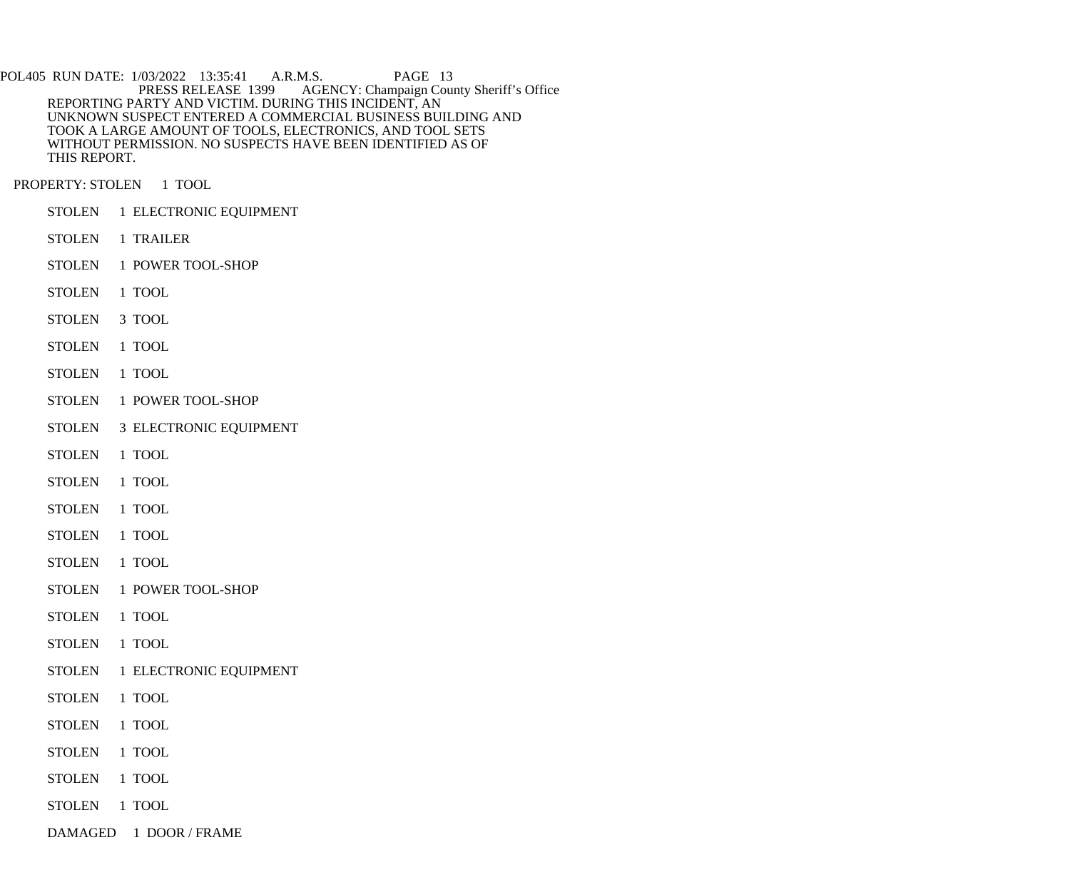POL405 RUN DATE: 1/03/2022 13:35:41 A.R.M.S. PAGE 13<br>PRESS RELEASE 1399 AGENCY: Champaign Cou AGENCY: Champaign County Sheriff's Office REPORTING PARTY AND VICTIM. DURING THIS INCIDENT, AN UNKNOWN SUSPECT ENTERED A COMMERCIAL BUSINESS BUILDING AND TOOK A LARGE AMOUNT OF TOOLS, ELECTRONICS, AND TOOL SETS WITHOUT PERMISSION. NO SUSPECTS HAVE BEEN IDENTIFIED AS OF THIS REPORT.

PROPERTY: STOLEN 1 TOOL

- STOLEN 1 ELECTRONIC EQUIPMENT
- STOLEN 1 TRAILER
- STOLEN 1 POWER TOOL-SHOP
- STOLEN 1 TOOL
- STOLEN 3 TOOL
- STOLEN 1 TOOL
- STOLEN 1 TOOL
- STOLEN 1 POWER TOOL-SHOP
- STOLEN 3 ELECTRONIC EQUIPMENT
- STOLEN 1 TOOL
- STOLEN 1 TOOL
- STOLEN 1 TOOL
- STOLEN 1 TOOL
- STOLEN 1 TOOL
- STOLEN 1 POWER TOOL-SHOP
- STOLEN 1 TOOL
- STOLEN 1 TOOL
- STOLEN 1 ELECTRONIC EQUIPMENT
- STOLEN 1 TOOL
- STOLEN 1 TOOL
- STOLEN 1 TOOL
- STOLEN 1 TOOL
- STOLEN 1 TOOL
- 
- DAMAGED 1 DOOR / FRAME